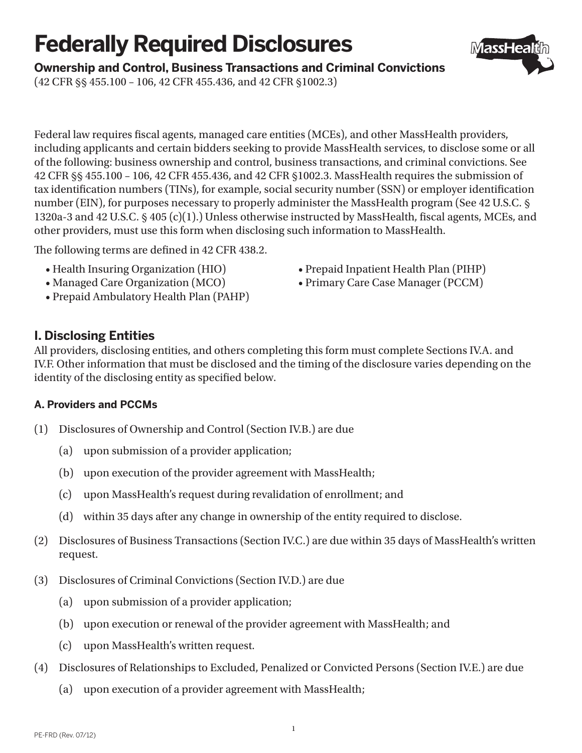# **Federally Required Disclosures**

# **Ownership and Control, Business Transactions and Criminal Convictions**

(42 CFR §§ 455.100 – 106, 42 CFR 455.436, and 42 CFR §1002.3)

Federal law requires fiscal agents, managed care entities (MCEs), and other MassHealth providers, including applicants and certain bidders seeking to provide MassHealth services, to disclose some or all of the following: business ownership and control, business transactions, and criminal convictions. See 42 CFR §§ 455.100 – 106, 42 CFR 455.436, and 42 CFR §1002.3. MassHealth requires the submission of tax identification numbers (TINs), for example, social security number (SSN) or employer identification number (EIN), for purposes necessary to properly administer the MassHealth program (See 42 U.S.C. § 1320a-3 and 42 U.S.C. § 405 (c)(1).) Unless otherwise instructed by MassHealth, fiscal agents, MCEs, and other providers, must use this form when disclosing such information to MassHealth.

The following terms are defined in 42 CFR 438.2.

- 
- 
- Prepaid Ambulatory Health Plan (PAHP)
- Health Insuring Organization (HIO) Prepaid Inpatient Health Plan (PIHP)
- Managed Care Organization (MCO) Primary Care Case Manager (PCCM)

# **I. Disclosing Entities**

All providers, disclosing entities, and others completing this form must complete Sections IV.A. and IV.F. Other information that must be disclosed and the timing of the disclosure varies depending on the identity of the disclosing entity as specified below.

# **A. Providers and PCCMs**

- (1) Disclosures of Ownership and Control (Section IV.B.) are due
	- (a) upon submission of a provider application;
	- (b) upon execution of the provider agreement with MassHealth;
	- (c) upon MassHealth's request during revalidation of enrollment; and
	- (d) within 35 days after any change in ownership of the entity required to disclose.
- (2) Disclosures of Business Transactions (Section IV.C.) are due within 35 days of MassHealth's written request.
- (3) Disclosures of Criminal Convictions (Section IV.D.) are due
	- (a) upon submission of a provider application;
	- (b) upon execution or renewal of the provider agreement with MassHealth; and
	- (c) upon MassHealth's written request.
- (4) Disclosures of Relationships to Excluded, Penalized or Convicted Persons (Section IV.E.) are due
	- (a) upon execution of a provider agreement with MassHealth;

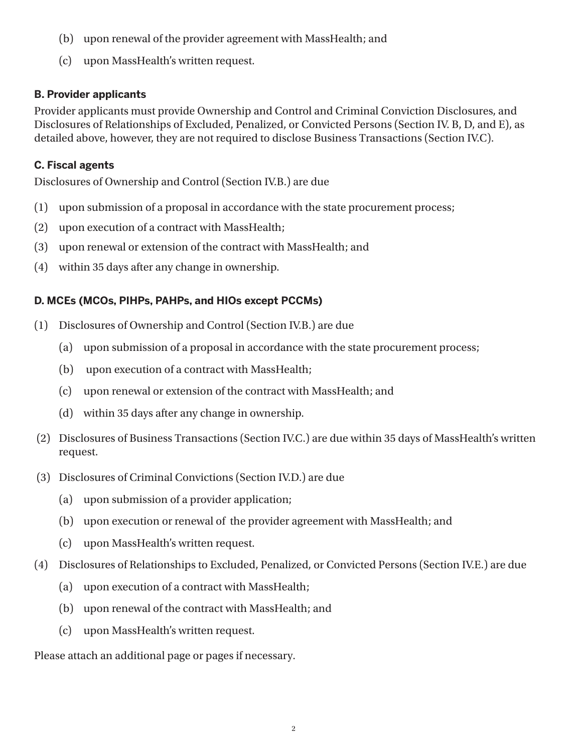- (b) upon renewal of the provider agreement with MassHealth; and
- (c) upon MassHealth's written request.

## **B. Provider applicants**

Provider applicants must provide Ownership and Control and Criminal Conviction Disclosures, and Disclosures of Relationships of Excluded, Penalized, or Convicted Persons (Section IV. B, D, and E), as detailed above, however, they are not required to disclose Business Transactions (Section IV.C).

## **C. Fiscal agents**

Disclosures of Ownership and Control (Section IV.B.) are due

- (1) upon submission of a proposal in accordance with the state procurement process;
- (2) upon execution of a contract with MassHealth;
- (3) upon renewal or extension of the contract with MassHealth; and
- (4) within 35 days after any change in ownership.

## **D. MCEs (MCOs, PIHPs, PAHPs, and HIOs except PCCMs)**

- (1) Disclosures of Ownership and Control (Section IV.B.) are due
	- (a) upon submission of a proposal in accordance with the state procurement process;
	- (b) upon execution of a contract with MassHealth;
	- (c) upon renewal or extension of the contract with MassHealth; and
	- (d) within 35 days after any change in ownership.
- (2) Disclosures of Business Transactions (Section IV.C.) are due within 35 days of MassHealth's written request.
- (3) Disclosures of Criminal Convictions (Section IV.D.) are due
	- (a) upon submission of a provider application;
	- (b) upon execution or renewal of the provider agreement with MassHealth; and
	- (c) upon MassHealth's written request.
- (4) Disclosures of Relationships to Excluded, Penalized, or Convicted Persons (Section IV.E.) are due
	- (a) upon execution of a contract with MassHealth;
	- (b) upon renewal of the contract with MassHealth; and
	- (c) upon MassHealth's written request.

Please attach an additional page or pages if necessary.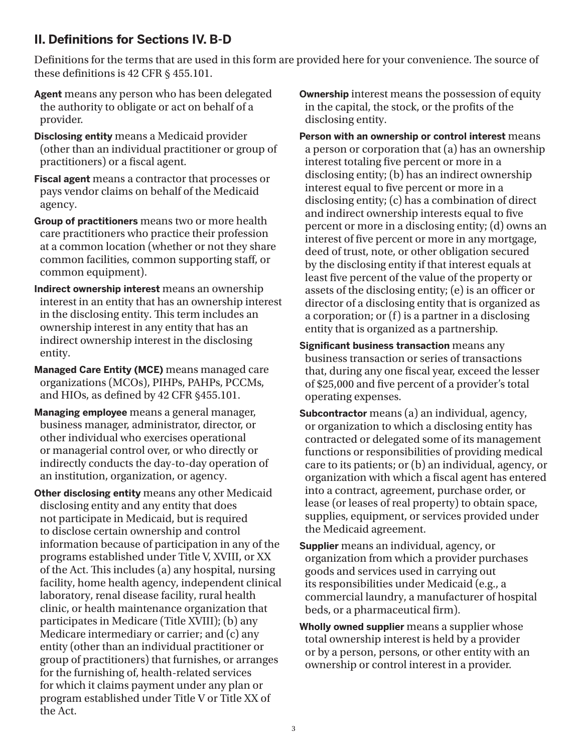# **II. Definitions for Sections IV. B-D**

Definitions for the terms that are used in this form are provided here for your convenience. The source of these definitions is 42 CFR § 455.101.

- **Agent** means any person who has been delegated the authority to obligate or act on behalf of a provider.
- **Disclosing entity** means a Medicaid provider (other than an individual practitioner or group of practitioners) or a fiscal agent.
- **Fiscal agent** means a contractor that processes or pays vendor claims on behalf of the Medicaid agency.
- **Group of practitioners** means two or more health care practitioners who practice their profession at a common location (whether or not they share common facilities, common supporting staff, or common equipment).
- **Indirect ownership interest** means an ownership interest in an entity that has an ownership interest in the disclosing entity. This term includes an ownership interest in any entity that has an indirect ownership interest in the disclosing entity.
- **Managed Care Entity (MCE)** means managed care organizations (MCOs), PIHPs, PAHPs, PCCMs, and HIOs, as defined by 42 CFR §455.101.
- **Managing employee** means a general manager, business manager, administrator, director, or other individual who exercises operational or managerial control over, or who directly or indirectly conducts the day-to-day operation of an institution, organization, or agency.
- **Other disclosing entity** means any other Medicaid disclosing entity and any entity that does not participate in Medicaid, but is required to disclose certain ownership and control information because of participation in any of the programs established under Title V, XVIII, or XX of the Act. This includes (a) any hospital, nursing facility, home health agency, independent clinical laboratory, renal disease facility, rural health clinic, or health maintenance organization that participates in Medicare (Title XVIII); (b) any Medicare intermediary or carrier; and (c) any entity (other than an individual practitioner or group of practitioners) that furnishes, or arranges for the furnishing of, health-related services for which it claims payment under any plan or program established under Title V or Title XX of the Act.

**Ownership** interest means the possession of equity in the capital, the stock, or the profits of the disclosing entity.

- **Person with an ownership or control interest** means a person or corporation that (a) has an ownership interest totaling five percent or more in a disclosing entity; (b) has an indirect ownership interest equal to five percent or more in a disclosing entity; (c) has a combination of direct and indirect ownership interests equal to five percent or more in a disclosing entity; (d) owns an interest of five percent or more in any mortgage, deed of trust, note, or other obligation secured by the disclosing entity if that interest equals at least five percent of the value of the property or assets of the disclosing entity; (e) is an officer or director of a disclosing entity that is organized as a corporation; or (f) is a partner in a disclosing entity that is organized as a partnership.
- **Significant business transaction** means any business transaction or series of transactions that, during any one fiscal year, exceed the lesser of \$25,000 and five percent of a provider's total operating expenses.
- **Subcontractor** means (a) an individual, agency, or organization to which a disclosing entity has contracted or delegated some of its management functions or responsibilities of providing medical care to its patients; or (b) an individual, agency, or organization with which a fiscal agent has entered into a contract, agreement, purchase order, or lease (or leases of real property) to obtain space, supplies, equipment, or services provided under the Medicaid agreement.
- **Supplier** means an individual, agency, or organization from which a provider purchases goods and services used in carrying out its responsibilities under Medicaid (e.g., a commercial laundry, a manufacturer of hospital beds, or a pharmaceutical firm).
- **Wholly owned supplier** means a supplier whose total ownership interest is held by a provider or by a person, persons, or other entity with an ownership or control interest in a provider.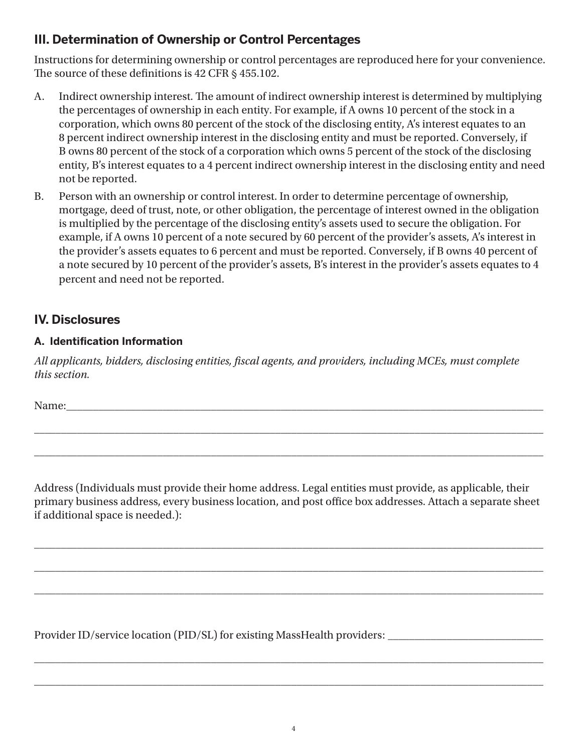# **III. Determination of Ownership or Control Percentages**

Instructions for determining ownership or control percentages are reproduced here for your convenience. The source of these definitions is 42 CFR § 455.102.

- A. Indirect ownership interest. The amount of indirect ownership interest is determined by multiplying the percentages of ownership in each entity. For example, if A owns 10 percent of the stock in a corporation, which owns 80 percent of the stock of the disclosing entity, A's interest equates to an 8 percent indirect ownership interest in the disclosing entity and must be reported. Conversely, if B owns 80 percent of the stock of a corporation which owns 5 percent of the stock of the disclosing entity, B's interest equates to a 4 percent indirect ownership interest in the disclosing entity and need not be reported.
- B. Person with an ownership or control interest. In order to determine percentage of ownership, mortgage, deed of trust, note, or other obligation, the percentage of interest owned in the obligation is multiplied by the percentage of the disclosing entity's assets used to secure the obligation. For example, if A owns 10 percent of a note secured by 60 percent of the provider's assets, A's interest in the provider's assets equates to 6 percent and must be reported. Conversely, if B owns 40 percent of a note secured by 10 percent of the provider's assets, B's interest in the provider's assets equates to 4 percent and need not be reported.

# **IV. Disclosures**

## **A. Identification Information**

*All applicants, bidders, disclosing entities, fiscal agents, and providers, including MCEs, must complete this section.* 

Name:

Address (Individuals must provide their home address. Legal entities must provide, as applicable, their primary business address, every business location, and post office box addresses. Attach a separate sheet if additional space is needed.):

\_\_\_\_\_\_\_\_\_\_\_\_\_\_\_\_\_\_\_\_\_\_\_\_\_\_\_\_\_\_\_\_\_\_\_\_\_\_\_\_\_\_\_\_\_\_\_\_\_\_\_\_\_\_\_\_\_\_\_\_\_\_\_\_\_\_\_\_\_\_\_\_\_\_\_\_\_\_\_\_\_\_\_\_\_\_\_\_\_\_\_\_\_\_\_

\_\_\_\_\_\_\_\_\_\_\_\_\_\_\_\_\_\_\_\_\_\_\_\_\_\_\_\_\_\_\_\_\_\_\_\_\_\_\_\_\_\_\_\_\_\_\_\_\_\_\_\_\_\_\_\_\_\_\_\_\_\_\_\_\_\_\_\_\_\_\_\_\_\_\_\_\_\_\_\_\_\_\_\_\_\_\_\_\_\_\_\_\_\_\_

\_\_\_\_\_\_\_\_\_\_\_\_\_\_\_\_\_\_\_\_\_\_\_\_\_\_\_\_\_\_\_\_\_\_\_\_\_\_\_\_\_\_\_\_\_\_\_\_\_\_\_\_\_\_\_\_\_\_\_\_\_\_\_\_\_\_\_\_\_\_\_\_\_\_\_\_\_\_\_\_\_\_\_\_\_\_\_\_\_\_\_\_\_\_\_

\_\_\_\_\_\_\_\_\_\_\_\_\_\_\_\_\_\_\_\_\_\_\_\_\_\_\_\_\_\_\_\_\_\_\_\_\_\_\_\_\_\_\_\_\_\_\_\_\_\_\_\_\_\_\_\_\_\_\_\_\_\_\_\_\_\_\_\_\_\_\_\_\_\_\_\_\_\_\_\_\_\_\_\_\_\_\_\_\_\_\_\_\_\_\_

\_\_\_\_\_\_\_\_\_\_\_\_\_\_\_\_\_\_\_\_\_\_\_\_\_\_\_\_\_\_\_\_\_\_\_\_\_\_\_\_\_\_\_\_\_\_\_\_\_\_\_\_\_\_\_\_\_\_\_\_\_\_\_\_\_\_\_\_\_\_\_\_\_\_\_\_\_\_\_\_\_\_\_\_\_\_\_\_\_\_\_\_\_\_\_

\_\_\_\_\_\_\_\_\_\_\_\_\_\_\_\_\_\_\_\_\_\_\_\_\_\_\_\_\_\_\_\_\_\_\_\_\_\_\_\_\_\_\_\_\_\_\_\_\_\_\_\_\_\_\_\_\_\_\_\_\_\_\_\_\_\_\_\_\_\_\_\_\_\_\_\_\_\_\_\_\_\_\_\_\_\_\_\_\_\_\_\_\_\_\_

\_\_\_\_\_\_\_\_\_\_\_\_\_\_\_\_\_\_\_\_\_\_\_\_\_\_\_\_\_\_\_\_\_\_\_\_\_\_\_\_\_\_\_\_\_\_\_\_\_\_\_\_\_\_\_\_\_\_\_\_\_\_\_\_\_\_\_\_\_\_\_\_\_\_\_\_\_\_\_\_\_\_\_\_\_\_\_\_\_\_\_\_\_\_\_

Provider ID/service location (PID/SL) for existing MassHealth providers: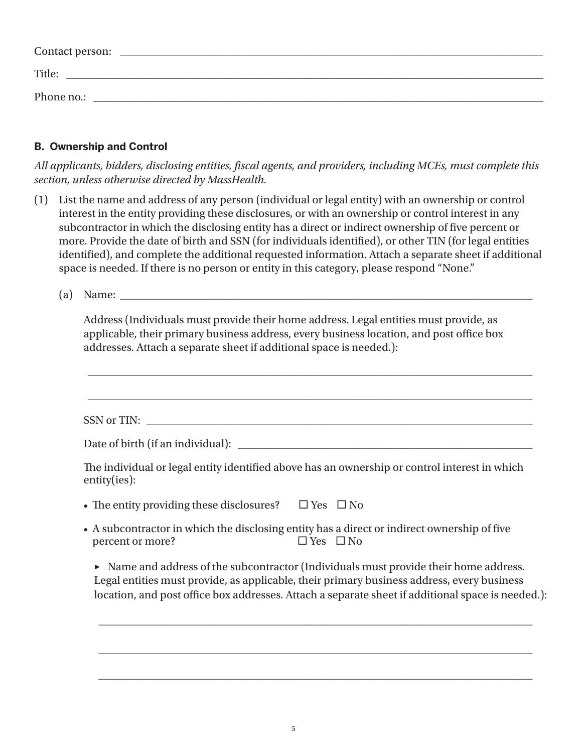| Contact person: |  |  |
|-----------------|--|--|
| Title:          |  |  |
| Phone no.:      |  |  |

## **B. Ownership and Control**

*All applicants, bidders, disclosing entities, fiscal agents, and providers, including MCEs, must complete this section, unless otherwise directed by MassHealth.* 

- (1) List the name and address of any person (individual or legal entity) with an ownership or control interest in the entity providing these disclosures, or with an ownership or control interest in any subcontractor in which the disclosing entity has a direct or indirect ownership of five percent or more. Provide the date of birth and SSN (for individuals identified), or other TIN (for legal entities identified), and complete the additional requested information. Attach a separate sheet if additional space is needed. If there is no person or entity in this category, please respond "None."
	- $(a)$  Name:

Address (Individuals must provide their home address. Legal entities must provide, as applicable, their primary business address, every business location, and post office box addresses. Attach a separate sheet if additional space is needed.):

\_\_\_\_\_\_\_\_\_\_\_\_\_\_\_\_\_\_\_\_\_\_\_\_\_\_\_\_\_\_\_\_\_\_\_\_\_\_\_\_\_\_\_\_\_\_\_\_\_\_\_\_\_\_\_\_\_\_\_\_\_\_\_\_\_\_\_\_\_\_\_\_\_\_\_\_\_\_\_\_\_\_\_ \_\_\_\_\_\_\_\_\_\_\_\_\_\_\_\_\_\_\_\_\_\_\_\_\_\_\_\_\_\_\_\_\_\_\_\_\_\_\_\_\_\_\_\_\_\_\_\_\_\_\_\_\_\_\_\_\_\_\_\_\_\_\_\_\_\_\_\_\_\_\_\_\_\_\_\_\_\_\_\_\_\_\_ SSN or TIN: Date of birth (if an individual): \_\_\_\_\_\_\_\_\_\_\_\_\_\_\_\_\_\_\_\_\_\_\_\_\_\_\_\_\_\_\_\_\_\_\_\_\_\_\_\_\_\_\_\_\_\_\_\_\_\_\_\_\_\_\_ The individual or legal entity identified above has an ownership or control interest in which entity(ies): • The entity providing these disclosures?  $\Box$  Yes  $\Box$  No • A subcontractor in which the disclosing entity has a direct or indirect ownership of five percent or more?  $\Box$  Yes  $\Box$  No ► Name and address of the subcontractor (Individuals must provide their home address. Legal entities must provide, as applicable, their primary business address, every business location, and post office box addresses. Attach a separate sheet if additional space is needed.): \_\_\_\_\_\_\_\_\_\_\_\_\_\_\_\_\_\_\_\_\_\_\_\_\_\_\_\_\_\_\_\_\_\_\_\_\_\_\_\_\_\_\_\_\_\_\_\_\_\_\_\_\_\_\_\_\_\_\_\_\_\_\_\_\_\_\_\_\_\_\_\_\_\_\_\_\_\_\_\_\_

\_\_\_\_\_\_\_\_\_\_\_\_\_\_\_\_\_\_\_\_\_\_\_\_\_\_\_\_\_\_\_\_\_\_\_\_\_\_\_\_\_\_\_\_\_\_\_\_\_\_\_\_\_\_\_\_\_\_\_\_\_\_\_\_\_\_\_\_\_\_\_\_\_\_\_\_\_\_\_\_\_

\_\_\_\_\_\_\_\_\_\_\_\_\_\_\_\_\_\_\_\_\_\_\_\_\_\_\_\_\_\_\_\_\_\_\_\_\_\_\_\_\_\_\_\_\_\_\_\_\_\_\_\_\_\_\_\_\_\_\_\_\_\_\_\_\_\_\_\_\_\_\_\_\_\_\_\_\_\_\_\_\_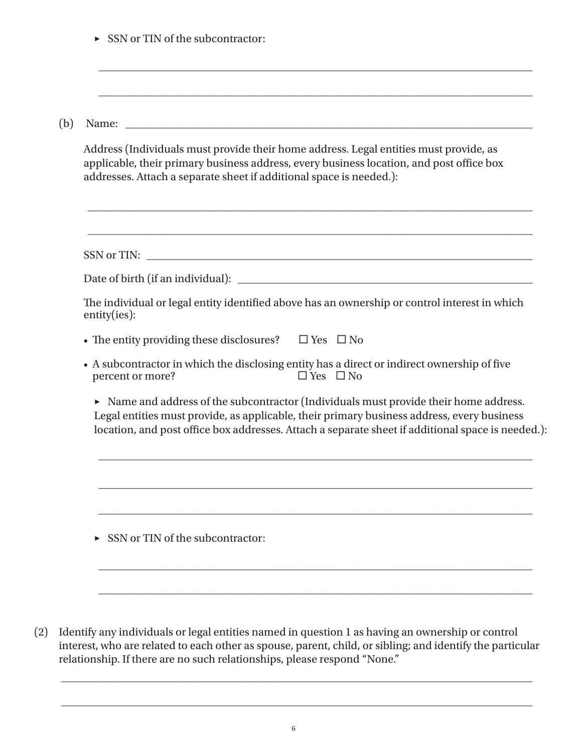- ► SSN or TIN of the subcontractor: \_\_\_\_\_\_\_\_\_\_\_\_\_\_\_\_\_\_\_\_\_\_\_\_\_\_\_\_\_\_\_\_\_\_\_\_\_\_\_\_\_\_\_\_\_\_\_\_\_\_\_\_\_\_\_\_\_\_\_\_\_\_\_\_\_\_\_\_\_\_\_\_\_\_\_\_\_\_\_\_\_ \_\_\_\_\_\_\_\_\_\_\_\_\_\_\_\_\_\_\_\_\_\_\_\_\_\_\_\_\_\_\_\_\_\_\_\_\_\_\_\_\_\_\_\_\_\_\_\_\_\_\_\_\_\_\_\_\_\_\_\_\_\_\_\_\_\_\_\_\_\_\_\_\_\_\_\_\_\_\_\_\_ (b) Name:  $\Box$ Address (Individuals must provide their home address. Legal entities must provide, as applicable, their primary business address, every business location, and post office box addresses. Attach a separate sheet if additional space is needed.): \_\_\_\_\_\_\_\_\_\_\_\_\_\_\_\_\_\_\_\_\_\_\_\_\_\_\_\_\_\_\_\_\_\_\_\_\_\_\_\_\_\_\_\_\_\_\_\_\_\_\_\_\_\_\_\_\_\_\_\_\_\_\_\_\_\_\_\_\_\_\_\_\_\_\_\_\_\_\_\_\_\_\_ \_\_\_\_\_\_\_\_\_\_\_\_\_\_\_\_\_\_\_\_\_\_\_\_\_\_\_\_\_\_\_\_\_\_\_\_\_\_\_\_\_\_\_\_\_\_\_\_\_\_\_\_\_\_\_\_\_\_\_\_\_\_\_\_\_\_\_\_\_\_\_\_\_\_\_\_\_\_\_\_\_\_\_ SSN or TIN: Date of birth (if an individual): The individual or legal entity identified above has an ownership or control interest in which entity(ies): • The entity providing these disclosures?  $\Box$  Yes  $\Box$  No • A subcontractor in which the disclosing entity has a direct or indirect ownership of five percent or more?  $\Box$  Yes  $\Box$  No ► Name and address of the subcontractor (Individuals must provide their home address. Legal entities must provide, as applicable, their primary business address, every business location, and post office box addresses. Attach a separate sheet if additional space is needed.): \_\_\_\_\_\_\_\_\_\_\_\_\_\_\_\_\_\_\_\_\_\_\_\_\_\_\_\_\_\_\_\_\_\_\_\_\_\_\_\_\_\_\_\_\_\_\_\_\_\_\_\_\_\_\_\_\_\_\_\_\_\_\_\_\_\_\_\_\_\_\_\_\_\_\_\_\_\_\_\_\_ \_\_\_\_\_\_\_\_\_\_\_\_\_\_\_\_\_\_\_\_\_\_\_\_\_\_\_\_\_\_\_\_\_\_\_\_\_\_\_\_\_\_\_\_\_\_\_\_\_\_\_\_\_\_\_\_\_\_\_\_\_\_\_\_\_\_\_\_\_\_\_\_\_\_\_\_\_\_\_\_\_ \_\_\_\_\_\_\_\_\_\_\_\_\_\_\_\_\_\_\_\_\_\_\_\_\_\_\_\_\_\_\_\_\_\_\_\_\_\_\_\_\_\_\_\_\_\_\_\_\_\_\_\_\_\_\_\_\_\_\_\_\_\_\_\_\_\_\_\_\_\_\_\_\_\_\_\_\_\_\_\_\_ ► SSN or TIN of the subcontractor: \_\_\_\_\_\_\_\_\_\_\_\_\_\_\_\_\_\_\_\_\_\_\_\_\_\_\_\_\_\_\_\_\_\_\_\_\_\_\_\_\_\_\_\_\_\_\_\_\_\_\_\_\_\_\_\_\_\_\_\_\_\_\_\_\_\_\_\_\_\_\_\_\_\_\_\_\_\_\_\_\_ \_\_\_\_\_\_\_\_\_\_\_\_\_\_\_\_\_\_\_\_\_\_\_\_\_\_\_\_\_\_\_\_\_\_\_\_\_\_\_\_\_\_\_\_\_\_\_\_\_\_\_\_\_\_\_\_\_\_\_\_\_\_\_\_\_\_\_\_\_\_\_\_\_\_\_\_\_\_\_\_\_
- (2) Identify any individuals or legal entities named in question 1 as having an ownership or control interest, who are related to each other as spouse, parent, child, or sibling; and identify the particular relationship. If there are no such relationships, please respond "None."

\_\_\_\_\_\_\_\_\_\_\_\_\_\_\_\_\_\_\_\_\_\_\_\_\_\_\_\_\_\_\_\_\_\_\_\_\_\_\_\_\_\_\_\_\_\_\_\_\_\_\_\_\_\_\_\_\_\_\_\_\_\_\_\_\_\_\_\_\_\_\_\_\_\_\_\_\_\_\_\_\_\_\_\_\_\_\_\_

\_\_\_\_\_\_\_\_\_\_\_\_\_\_\_\_\_\_\_\_\_\_\_\_\_\_\_\_\_\_\_\_\_\_\_\_\_\_\_\_\_\_\_\_\_\_\_\_\_\_\_\_\_\_\_\_\_\_\_\_\_\_\_\_\_\_\_\_\_\_\_\_\_\_\_\_\_\_\_\_\_\_\_\_\_\_\_\_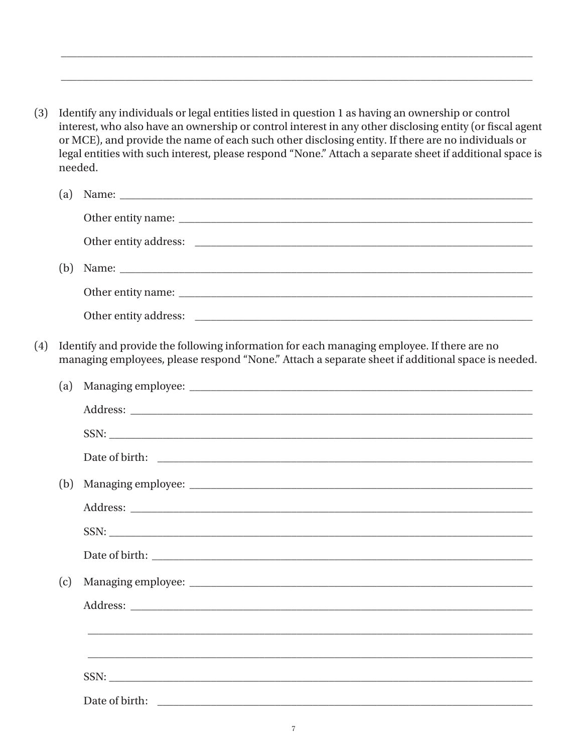(3) Identify any individuals or legal entities listed in question 1 as having an ownership or control interest, who also have an ownership or control interest in any other disclosing entity (or fiscal agent or MCE), and provide the name of each such other disclosing entity. If there are no individuals or legal entities with such interest, please respond "None." Attach a separate sheet if additional space is needed.

|     | (a) |                                                                                                                                                                                                |
|-----|-----|------------------------------------------------------------------------------------------------------------------------------------------------------------------------------------------------|
|     |     |                                                                                                                                                                                                |
|     |     |                                                                                                                                                                                                |
|     | (b) |                                                                                                                                                                                                |
|     |     |                                                                                                                                                                                                |
|     |     |                                                                                                                                                                                                |
| (4) |     | Identify and provide the following information for each managing employee. If there are no<br>managing employees, please respond "None." Attach a separate sheet if additional space is needed |
|     | (a) |                                                                                                                                                                                                |
|     |     |                                                                                                                                                                                                |
|     |     |                                                                                                                                                                                                |
|     |     |                                                                                                                                                                                                |
|     |     |                                                                                                                                                                                                |
|     |     |                                                                                                                                                                                                |
|     |     | SSN:                                                                                                                                                                                           |
|     |     |                                                                                                                                                                                                |
|     | (c) |                                                                                                                                                                                                |
|     |     |                                                                                                                                                                                                |
|     |     |                                                                                                                                                                                                |
|     |     |                                                                                                                                                                                                |
|     |     | SSN:                                                                                                                                                                                           |
|     |     | Date of birth:                                                                                                                                                                                 |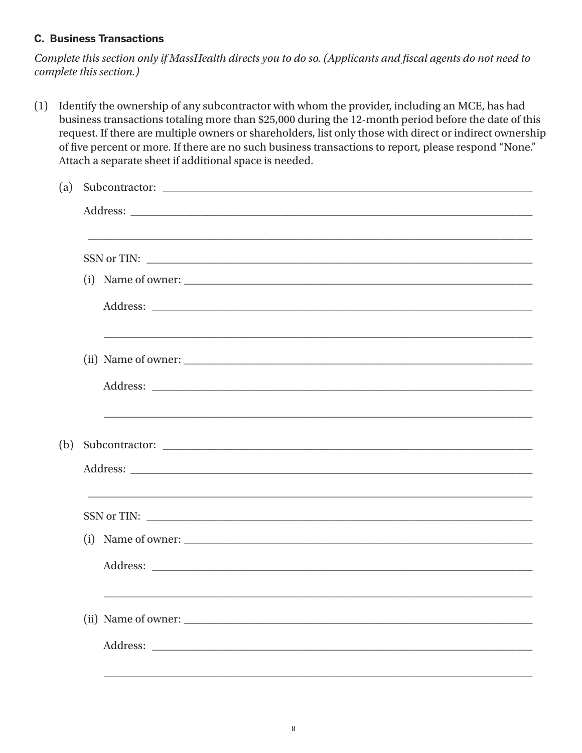#### **C. Business Transactions**

Complete this section only if MassHealth directs you to do so. (Applicants and fiscal agents do not need to complete this section.)

(1) Identify the ownership of any subcontractor with whom the provider, including an MCE, has had business transactions totaling more than \$25,000 during the 12-month period before the date of this request. If there are multiple owners or shareholders, list only those with direct or indirect ownership of five percent or more. If there are no such business transactions to report, please respond "None." Attach a separate sheet if additional space is needed.

| (a) |  |                      |  |
|-----|--|----------------------|--|
|     |  |                      |  |
|     |  |                      |  |
|     |  |                      |  |
|     |  | $(i)$ Name of owner: |  |
|     |  |                      |  |
|     |  |                      |  |
|     |  |                      |  |
|     |  |                      |  |
| (b) |  |                      |  |
|     |  |                      |  |
|     |  | (i) Name of owner:   |  |
|     |  |                      |  |
|     |  |                      |  |
|     |  |                      |  |
|     |  |                      |  |
|     |  |                      |  |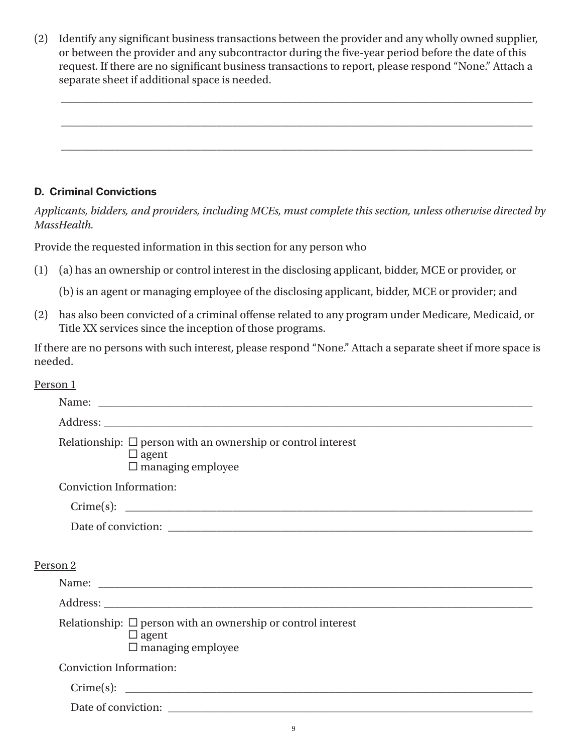(2) Identify any significant business transactions between the provider and any wholly owned supplier, or between the provider and any subcontractor during the five-year period before the date of this request. If there are no significant business transactions to report, please respond "None." Attach a separate sheet if additional space is needed.

\_\_\_\_\_\_\_\_\_\_\_\_\_\_\_\_\_\_\_\_\_\_\_\_\_\_\_\_\_\_\_\_\_\_\_\_\_\_\_\_\_\_\_\_\_\_\_\_\_\_\_\_\_\_\_\_\_\_\_\_\_\_\_\_\_\_\_\_\_\_\_\_\_\_\_\_\_\_\_\_\_\_\_\_\_\_\_\_

\_\_\_\_\_\_\_\_\_\_\_\_\_\_\_\_\_\_\_\_\_\_\_\_\_\_\_\_\_\_\_\_\_\_\_\_\_\_\_\_\_\_\_\_\_\_\_\_\_\_\_\_\_\_\_\_\_\_\_\_\_\_\_\_\_\_\_\_\_\_\_\_\_\_\_\_\_\_\_\_\_\_\_\_\_\_\_\_

\_\_\_\_\_\_\_\_\_\_\_\_\_\_\_\_\_\_\_\_\_\_\_\_\_\_\_\_\_\_\_\_\_\_\_\_\_\_\_\_\_\_\_\_\_\_\_\_\_\_\_\_\_\_\_\_\_\_\_\_\_\_\_\_\_\_\_\_\_\_\_\_\_\_\_\_\_\_\_\_\_\_\_\_\_\_\_\_

#### **D. Criminal Convictions**

*Applicants, bidders, and providers, including MCEs, must complete this section, unless otherwise directed by MassHealth.* 

Provide the requested information in this section for any person who

(1) (a) has an ownership or control interest in the disclosing applicant, bidder, MCE or provider, or

(b) is an agent or managing employee of the disclosing applicant, bidder, MCE or provider; and

(2) has also been convicted of a criminal offense related to any program under Medicare, Medicaid, or Title XX services since the inception of those programs.

If there are no persons with such interest, please respond "None." Attach a separate sheet if more space is needed.

#### Person 1

| Relationship: $\Box$ person with an ownership or control interest<br>$\Box$ agent<br>$\Box$ managing employee |
|---------------------------------------------------------------------------------------------------------------|
| <b>Conviction Information:</b>                                                                                |
|                                                                                                               |
|                                                                                                               |
| Person 2                                                                                                      |
|                                                                                                               |
| Relationship: $\Box$ person with an ownership or control interest<br>$\Box$ agent<br>$\Box$ managing employee |
| <b>Conviction Information:</b>                                                                                |
|                                                                                                               |
|                                                                                                               |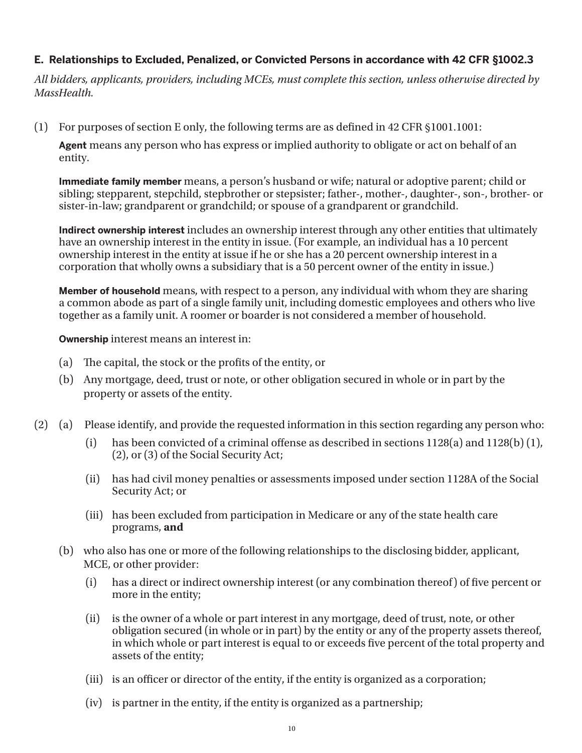## **E. Relationships to Excluded, Penalized, or Convicted Persons in accordance with 42 CFR §1002.3**

*All bidders, applicants, providers, including MCEs, must complete this section, unless otherwise directed by MassHealth.* 

(1) For purposes of section E only, the following terms are as defined in 42 CFR §1001.1001:

**Agent** means any person who has express or implied authority to obligate or act on behalf of an entity.

**Immediate family member** means, a person's husband or wife; natural or adoptive parent; child or sibling; stepparent, stepchild, stepbrother or stepsister; father-, mother-, daughter-, son-, brother- or sister-in-law; grandparent or grandchild; or spouse of a grandparent or grandchild.

**Indirect ownership interest** includes an ownership interest through any other entities that ultimately have an ownership interest in the entity in issue. (For example, an individual has a 10 percent ownership interest in the entity at issue if he or she has a 20 percent ownership interest in a corporation that wholly owns a subsidiary that is a 50 percent owner of the entity in issue.)

**Member of household** means, with respect to a person, any individual with whom they are sharing a common abode as part of a single family unit, including domestic employees and others who live together as a family unit. A roomer or boarder is not considered a member of household.

**Ownership** interest means an interest in:

- (a) The capital, the stock or the profits of the entity, or
- (b) Any mortgage, deed, trust or note, or other obligation secured in whole or in part by the property or assets of the entity.
- (2) (a) Please identify, and provide the requested information in this section regarding any person who:
	- (i) has been convicted of a criminal offense as described in sections  $1128(a)$  and  $1128(b)(1)$ , (2), or (3) of the Social Security Act;
	- (ii) has had civil money penalties or assessments imposed under section 1128A of the Social Security Act; or
	- (iii) has been excluded from participation in Medicare or any of the state health care programs, **and**
	- (b) who also has one or more of the following relationships to the disclosing bidder, applicant, MCE, or other provider:
		- (i) has a direct or indirect ownership interest (or any combination thereof) of five percent or more in the entity;
		- (ii) is the owner of a whole or part interest in any mortgage, deed of trust, note, or other obligation secured (in whole or in part) by the entity or any of the property assets thereof, in which whole or part interest is equal to or exceeds five percent of the total property and assets of the entity;
		- (iii) is an officer or director of the entity, if the entity is organized as a corporation;
		- (iv) is partner in the entity, if the entity is organized as a partnership;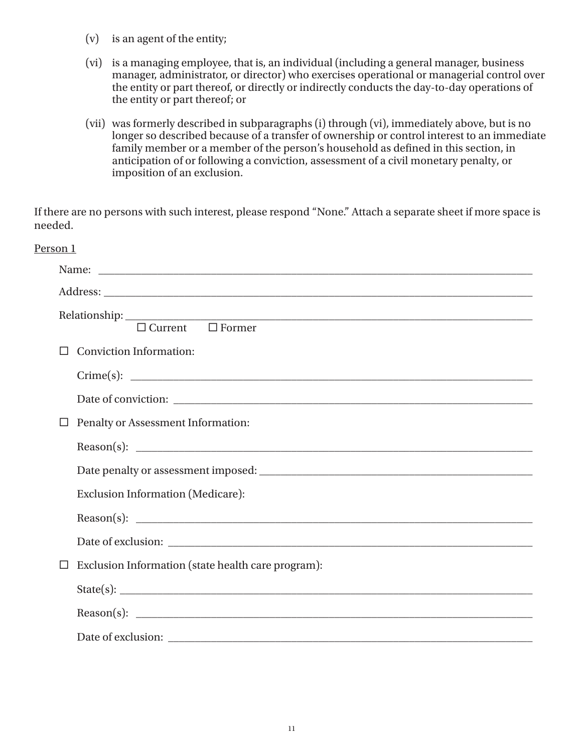- (v) is an agent of the entity;
- (vi) is a managing employee, that is, an individual (including a general manager, business manager, administrator, or director) who exercises operational or managerial control over the entity or part thereof, or directly or indirectly conducts the day-to-day operations of the entity or part thereof; or
- (vii) was formerly described in subparagraphs (i) through (vi), immediately above, but is no longer so described because of a transfer of ownership or control interest to an immediate family member or a member of the person's household as defined in this section, in anticipation of or following a conviction, assessment of a civil monetary penalty, or imposition of an exclusion.

If there are no persons with such interest, please respond "None." Attach a separate sheet if more space is needed.

| Person 1                                                                                                                                                                                                                                                                                                                                                                                                                                                                                                                                                                                               |  |
|--------------------------------------------------------------------------------------------------------------------------------------------------------------------------------------------------------------------------------------------------------------------------------------------------------------------------------------------------------------------------------------------------------------------------------------------------------------------------------------------------------------------------------------------------------------------------------------------------------|--|
|                                                                                                                                                                                                                                                                                                                                                                                                                                                                                                                                                                                                        |  |
|                                                                                                                                                                                                                                                                                                                                                                                                                                                                                                                                                                                                        |  |
| $\begin{tabular}{l} Relationship: \begin{tabular}{ll} \textbf{\textcolor{blue}{\bf \textcolor{blue}{\bf \textcolor{blue}{\bf \textcolor{blue}{\bf \textcolor{blue}{\bf \textcolor{blue}{\bf \textcolor{blue}{\bf \textcolor{blue}{\bf \textcolor{blue}{\bf \textcolor{blue}{\bf \textcolor{blue}{\bf \textcolor{blue}{\bf \textcolor{blue}{\bf \textcolor{blue}{\bf \textcolor{blue}{\bf \textcolor{blue}{\bf \textcolor{blue}{\bf \textcolor{blue}{\bf \textcolor{blue}{\bf \textcolor{blue}{\bf \textcolor{blue}{\bf \textcolor{blue}{\bf \textcolor{blue}{\bf \textcolor{blue}{\bf \textcolor{blue$ |  |
| <b>Conviction Information:</b>                                                                                                                                                                                                                                                                                                                                                                                                                                                                                                                                                                         |  |
|                                                                                                                                                                                                                                                                                                                                                                                                                                                                                                                                                                                                        |  |
|                                                                                                                                                                                                                                                                                                                                                                                                                                                                                                                                                                                                        |  |
| $\hfill\Box\;$ Penalty or Assessment Information:                                                                                                                                                                                                                                                                                                                                                                                                                                                                                                                                                      |  |
|                                                                                                                                                                                                                                                                                                                                                                                                                                                                                                                                                                                                        |  |
|                                                                                                                                                                                                                                                                                                                                                                                                                                                                                                                                                                                                        |  |
| <b>Exclusion Information (Medicare):</b>                                                                                                                                                                                                                                                                                                                                                                                                                                                                                                                                                               |  |
|                                                                                                                                                                                                                                                                                                                                                                                                                                                                                                                                                                                                        |  |
|                                                                                                                                                                                                                                                                                                                                                                                                                                                                                                                                                                                                        |  |
| Exclusion Information (state health care program):                                                                                                                                                                                                                                                                                                                                                                                                                                                                                                                                                     |  |
|                                                                                                                                                                                                                                                                                                                                                                                                                                                                                                                                                                                                        |  |
| Reason(s): $\qquad \qquad$                                                                                                                                                                                                                                                                                                                                                                                                                                                                                                                                                                             |  |
|                                                                                                                                                                                                                                                                                                                                                                                                                                                                                                                                                                                                        |  |